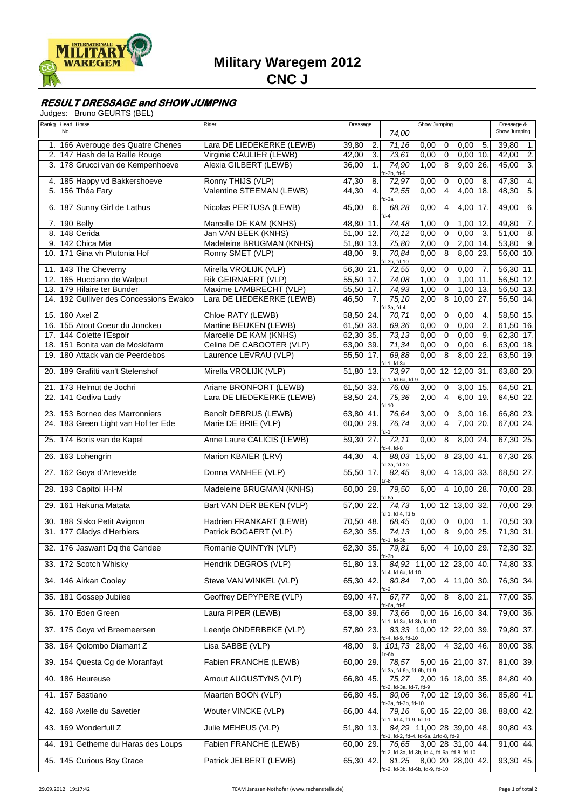

## **RESULT DRESSAGE and SHOW JUMPING**

|  |  | Judges: Bruno GEURTS (BEL) |  |
|--|--|----------------------------|--|
|--|--|----------------------------|--|

| Rankg Head Horse<br>No.                                            | Rider                                             | Dressage                  | 74,00                                        | Show Jumping                                                                                               | Dressage &<br>Show Jumping |
|--------------------------------------------------------------------|---------------------------------------------------|---------------------------|----------------------------------------------|------------------------------------------------------------------------------------------------------------|----------------------------|
| 1. 166 Averouge des Quatre Chenes                                  | Lara DE LIEDEKERKE (LEWB)                         | 39,80<br>2.               | 71,16                                        | 5.<br>0,00<br>$\mathbf 0$<br>0,00                                                                          | 39,80<br>1.                |
| 2. 147 Hash de la Baille Rouge                                     | Virginie CAULIER (LEWB)                           | 3.<br>42,00               | 73.61                                        | $\overline{0}$<br>$0,00$ 10.<br>0,00                                                                       | $\overline{2}$ .<br>42,00  |
| 3. 178 Grucci van de Kempenhoeve                                   | Alexia GILBERT (LEWB)                             | 36,00<br>$\mathbf{1}$ .   | 74,90<br>d-3b, fd-9                          | $\overline{8}$<br>$9,00$ 26.<br>1,00                                                                       | 45,00<br>3.                |
| 4. 185 Happy vd Bakkershoeve                                       | Ronny THIJS (VLP)                                 | 47,30<br>8.               | 72.97                                        | 0,00<br>0<br>0,00<br>8.                                                                                    | 47,30<br>4.                |
| 5. 156 Théa Fary                                                   | Valentine STEEMAN (LEWB)                          | 44,30<br>$\overline{4}$ . | 72,55                                        | $\overline{4}$<br>0,00<br>4,00 18.                                                                         | $\overline{5}$ .<br>48,30  |
| 6. 187 Sunny Girl de Lathus                                        | Nicolas PERTUSA (LEWB)                            | 45,00<br>6.               | d-3a<br>68,28<br>$fd-4$                      | 0,00<br>$\overline{4}$<br>4,00 17.                                                                         | 6.<br>49,00                |
| 7. 190 Belly                                                       | Marcelle DE KAM (KNHS)                            | 48,80 11.                 | 74,48                                        | 1,00<br>0<br>1,00<br>12                                                                                    | 49,80<br>$\overline{7}$ .  |
| 8. 148 Cerida                                                      | Jan VAN BEEK (KNHS)                               | 51.00 12.                 | 70,12                                        | $\overline{0}$<br>$\overline{3}$<br>0,00<br>0,00                                                           | 8.<br>51,00                |
| 9. 142 Chica Mia<br>10. 171 Gina vh Plutonia Hof                   | Madeleine BRUGMAN (KNHS)<br>Ronny SMET (VLP)      | 51,80 13.<br>48,00<br>9.  | 75,80<br>70,84                               | $\mathsf 0$<br>2,00<br>2,00 14.<br>$\overline{8}$<br>0,00<br>8,00 23.                                      | 9.<br>53,80<br>$56,00$ 10. |
| 11. 143 The Cheverny                                               | Mirella VROLIJK (VLP)                             | 56,30 21.                 | d-3b, fd-10<br>72,55                         | 0,00<br>$\mathbf 0$<br>0,00<br>$\overline{7}$                                                              | 56,30 11.                  |
| 12. 165 Hucciano de Walput                                         | Rik GEIRNAERT (VLP)                               | 55,50 17.                 | 74,08                                        | $\overline{0}$<br>1,00<br>11<br>1,00                                                                       | 56,50 12.                  |
| 13. 179 Hilaire ter Bunder                                         | Maxime LAMBRECHT (VLP)                            | 55,50 17.                 | 74,93                                        | 0<br>$1,00$ 13.<br>1,00                                                                                    | 56,50 13.                  |
| 14. 192 Gulliver des Concessions Ewalco                            | Lara DE LIEDEKERKE (LEWB)                         | $\overline{7}$ .<br>46,50 | 75,10<br>fd-3a, fd-4                         | $\overline{8}$<br>2,00<br>$10,00$ 27.                                                                      | 56,50 14.                  |
| 15. 160 Axel Z                                                     | Chloe RATY (LEWB)                                 | 58,50 24.                 | 70,71                                        | 0,00<br>$\mathbf 0$<br>0,00<br>$\overline{4}$                                                              | 58,50 15.                  |
| 16. 155 Atout Coeur du Jonckeu                                     | Martine BEUKEN (LEWB)                             | 61,50 33.                 | 69,36                                        | $\overline{0}$<br>0,00<br>0,00<br>2.                                                                       | 61,50 16.                  |
| 17. 144 Colette l'Espoir                                           | Marcelle DE KAM (KNHS)                            | 62,30 35.                 | 73, 13                                       | $\mathbf 0$<br>0,00<br>0,00<br>9.                                                                          | 62,30 17.                  |
| 18. 151 Bonita van de Moskifarm<br>19. 180 Attack van de Peerdebos | Celine DE CABOOTER (VLP)<br>Laurence LEVRAU (VLP) | 63,00 39.<br>55,50 17.    | 71,34<br>69,88                               | $\overline{0}$<br>0,00<br>6.<br>0,00<br>$\overline{8}$<br>0,00<br>8,00 22.                                 | 63,00 18.<br>$63,50$ 19.   |
|                                                                    |                                                   |                           | d-1, fd-3a                                   |                                                                                                            |                            |
| 20. 189 Grafitti van't Stelenshof                                  | Mirella VROLIJK (VLP)                             | 51,80 13.                 | 73,97<br>d-1, fd-6a, fd-9                    | 0,00 12 12,00 31                                                                                           | 63,80 20.                  |
| 21. 173 Helmut de Jochri                                           | Ariane BRONFORT (LEWB)                            | 61,50 33.                 | 76,08                                        | 3,00<br>0<br>3,00 15.                                                                                      | 64,50 21.                  |
| 22. 141 Godiva Lady                                                | Lara DE LIEDEKERKE (LEWB)                         | 58,50 24.                 | 75,36<br>$d-10$                              | $\overline{4}$<br>$6,00$ 19<br>2,00                                                                        | 64,50 22.                  |
| 23. 153 Borneo des Marronniers                                     | <b>Benoît DEBRUS (LEWB)</b>                       | 63,80 41.                 | 76.64                                        | 3,00<br>0<br>3,00 16.                                                                                      | 66,80 23.                  |
| 24. 183 Green Light van Hof ter Ede                                | Marie DE BRIE (VLP)                               | 60,00 29.                 | 76,74<br>$-d-1$                              | $\overline{4}$<br>7,00 20.<br>3,00                                                                         | 67,00 24.                  |
| 25. 174 Boris van de Kapel                                         | Anne Laure CALICIS (LEWB)                         | 59,30 27.                 | 72, 11                                       | $8,00$ 24.<br>0,00<br>8                                                                                    | 67,30 25.                  |
| 26. 163 Lohengrin                                                  | Marion KBAIER (LRV)                               | 44,30<br>4.               | d-4, fd-8<br>88,03 15,00                     | 8 23,00 41.                                                                                                | 67,30 26.                  |
| 27. 162 Goya d'Artevelde                                           | Donna VANHEE (VLP)                                | 55,50 17.                 | fd-3a, fd-3b<br>82,45                        | 4 13,00 33.<br>9,00                                                                                        | 68,50 27.                  |
| 28. 193 Capitol H-I-M                                              | Madeleine BRUGMAN (KNHS)                          | 60,00 29.                 | $1r-8$<br>79,50<br>fd-6a                     | 6,00<br>4 10,00 28.                                                                                        | 70,00 28.                  |
| 29. 161 Hakuna Matata                                              | Bart VAN DER BEKEN (VLP)                          | 57,00 22.                 | 74,73<br>fd-1, fd-4, fd-5                    | 1,00 12 13,00 32.                                                                                          | 70,00 29.                  |
| 30. 188 Sisko Petit Avignon                                        | Hadrien FRANKART (LEWB)                           | 70,50 48.                 | 68,45                                        | $0,\overline{00}$<br>$\mathbf 0$<br>0,00<br>$\overline{1}$                                                 | 70,50 30.                  |
| 31. 177 Gladys d'Herbiers                                          | Patrick BOGAERT (VLP)                             | 62,30 35.                 | 74,13<br>fd-1, fd-3b                         | $\overline{8}$<br>1,00<br>$9,00$ 25.                                                                       | 71,30 31.                  |
| 32. 176 Jaswant Dg the Candee                                      | Romanie QUINTYN (VLP)                             | 62,30 35.                 | 79,81<br>fd-3b                               | 6,00<br>4 10,00 29.                                                                                        | 72,30 32.                  |
| 33. 172 Scotch Whisky                                              | Hendrik DEGROS (VLP)                              | 51,80 13.                 |                                              | 84,92 11,00 12 23,00 40.                                                                                   | 74,80 33.                  |
| 34. 146 Airkan Cooley                                              | Steve VAN WINKEL (VLP)                            | 65,30 42.                 | d-4, fd-6a, fd-10<br>80,84                   | 4 11,00 30.<br>7,00                                                                                        | 76,30 34.                  |
| 35. 181 Gossep Jubilee                                             | Geoffrey DEPYPERE (VLP)                           | 69,00 47.                 | 67,77<br>d-6a, fd-8                          | 0,00<br>$8\quad 8,00\quad 21.$                                                                             | 77,00 35.                  |
| 36. 170 Eden Green                                                 | Laura PIPER (LEWB)                                | 63,00 39.                 | 73,66                                        | 0,00 16 16,00 34.                                                                                          | 79,00 36.                  |
| 37. 175 Goya vd Breemeersen                                        | Leentje ONDERBEKE (VLP)                           | 57,80 23.                 | d-1, fd-3a, fd-3b, fd-10<br>d-4, fd-9, fd-10 | 83,33 10,00 12 22,00 39.                                                                                   | 79,80 37.                  |
| 38. 164 Qolombo Diamant Z                                          | Lisa SABBE (VLP)                                  | 48,00 9.                  |                                              | 101,73 28,00 4 32,00 46.                                                                                   | 80,00 38.                  |
| 39. 154 Questa Cg de Moranfayt                                     | Fabien FRANCHE (LEWB)                             | 60,00 29.                 |                                              | 78,57 5,00 16 21,00 37.                                                                                    | 81,00 39.                  |
| 40. 186 Heureuse                                                   | Arnout AUGUSTYNS (VLP)                            | 66,80 45.                 | d-3a, fd-6a, fd-6b, fd-9                     | 75,27 2,00 16 18,00 35.                                                                                    | 84,80 40.                  |
| 41. 157 Bastiano                                                   | Maarten BOON (VLP)                                | 66,80 45.                 | d-2, fd-3a, fd-7, fd-9<br>80,06              | 7,00 12 19,00 36.                                                                                          | 85,80 41.                  |
| 42. 168 Axelle du Savetier                                         | Wouter VINCKE (VLP)                               | 66,00 44.                 | d-3a, fd-3b, fd-10<br>79,16                  | 6,00 16 22,00 38.                                                                                          | 88,00 42.                  |
| 43. 169 Wonderfull Z                                               | Julie MEHEUS (VLP)                                | 51,80 13.                 | d-1, fd-4, fd-9, fd-10                       | 84,29 11,00 28 39,00 48.                                                                                   | 90,80 43.                  |
| 44. 191 Getheme du Haras des Loups                                 | Fabien FRANCHE (LEWB)                             | 60,00 29.                 | 76.65                                        | d-1, fd-2, fd-4, fd-6a, 1rfd-8, fd-9<br>3,00 28 31,00 44.                                                  | 91,00 44.                  |
| 45. 145 Curious Boy Grace                                          | Patrick JELBERT (LEWB)                            | 65,30 42.                 |                                              | fd-2, fd-3a, fd-3b, fd-4, fd-6a, fd-8, fd-10<br>81,25 8,00 20 28,00 42.<br>fd-2, fd-3b, fd-6b, fd-9, fd-10 | 93,30 45.                  |